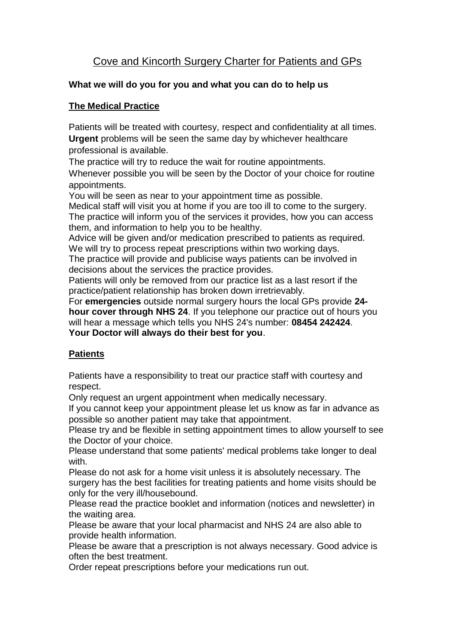## Cove and Kincorth Surgery Charter for Patients and GPs

## **What we will do you for you and what you can do to help us**

## **The Medical Practice**

Patients will be treated with courtesy, respect and confidentiality at all times. **Urgent** problems will be seen the same day by whichever healthcare professional is available.

The practice will try to reduce the wait for routine appointments.

Whenever possible you will be seen by the Doctor of your choice for routine appointments.

You will be seen as near to your appointment time as possible.

Medical staff will visit you at home if you are too ill to come to the surgery. The practice will inform you of the services it provides, how you can access them, and information to help you to be healthy.

Advice will be given and/or medication prescribed to patients as required. We will try to process repeat prescriptions within two working days.

The practice will provide and publicise ways patients can be involved in decisions about the services the practice provides.

Patients will only be removed from our practice list as a last resort if the practice/patient relationship has broken down irretrievably.

For **emergencies** outside normal surgery hours the local GPs provide **24 hour cover through NHS 24**. If you telephone our practice out of hours you will hear a message which tells you NHS 24's number: **08454 242424**. **Your Doctor will always do their best for you**.

## **Patients**

Patients have a responsibility to treat our practice staff with courtesy and respect.

Only request an urgent appointment when medically necessary.

If you cannot keep your appointment please let us know as far in advance as possible so another patient may take that appointment.

Please try and be flexible in setting appointment times to allow yourself to see the Doctor of your choice.

Please understand that some patients' medical problems take longer to deal with.

Please do not ask for a home visit unless it is absolutely necessary. The surgery has the best facilities for treating patients and home visits should be only for the very ill/housebound.

Please read the practice booklet and information (notices and newsletter) in the waiting area.

Please be aware that your local pharmacist and NHS 24 are also able to provide health information.

Please be aware that a prescription is not always necessary. Good advice is often the best treatment.

Order repeat prescriptions before your medications run out.